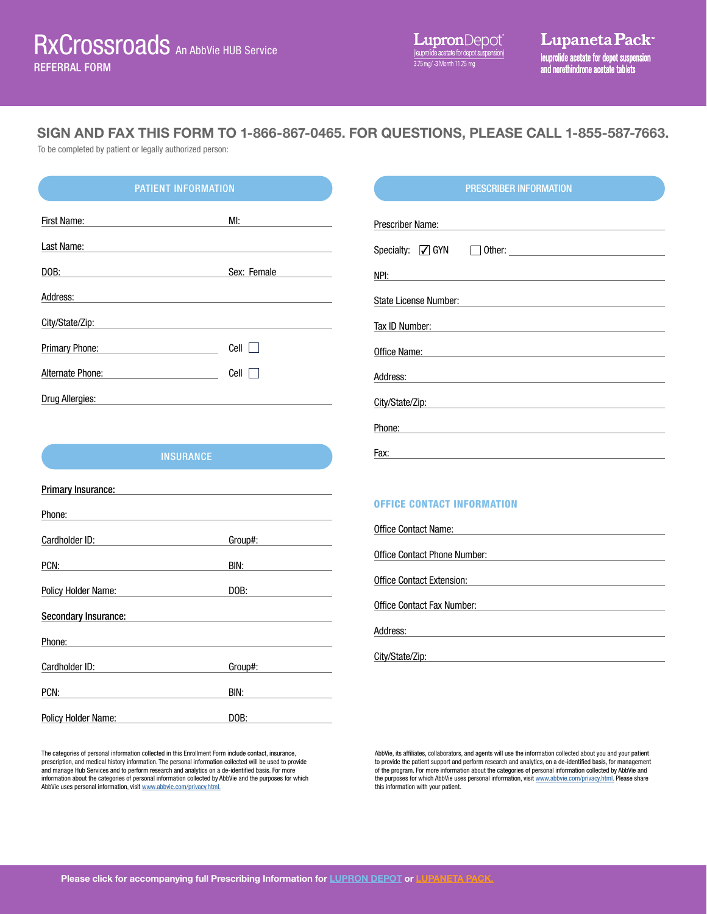SIGN AND FAX THIS FORM TO 1-866-867-0465. FOR QUESTIONS, PLEASE CALL 1-855-587-7663.

To be completed by patient or legally authorized person:

# PATIENT INFORMATION PRESCRIBER INFORMATION

| First Name:           | MI:         |
|-----------------------|-------------|
| Last Name:            |             |
| DOB:                  | Sex: Female |
| Address:              |             |
| City/State/Zip:       |             |
| <b>Primary Phone:</b> | Cell        |
| Alternate Phone:      | Cell        |
| Drug Allergies:       |             |

| Prescriber Name:                                                                                                                        |
|-----------------------------------------------------------------------------------------------------------------------------------------|
|                                                                                                                                         |
| NPI:<br><u> 1980 - Andrea Brand, amerikansk politik (</u>                                                                               |
| State License Number:                                                                                                                   |
| Tax ID Number:<br><u> 1989 - Andrea State Barbara, amerikan personal di sebagai personal di sebagai personal di sebagai personal di</u> |
| Office Name: <u>________________________________</u>                                                                                    |
| Address:                                                                                                                                |
| City/State/Zip: www.astronometer.com                                                                                                    |
| Phone:                                                                                                                                  |
| Fax:                                                                                                                                    |

# **INSURANCE**

| <b>Primary Insurance:</b>  |         |
|----------------------------|---------|
| Phone:                     |         |
| Cardholder ID:             | Group#: |
| PCN:                       | BIN:    |
| Policy Holder Name:        | DOB:    |
| Secondary Insurance:       |         |
| Phone:                     |         |
| Cardholder ID:             | Group#: |
| PCN:                       | BIN:    |
| <b>Policy Holder Name:</b> | DOB:    |

The categories of personal information collected in this Enrollment Form include contact, insurance, prescription, and medical history information. The personal information collected will be used to provide and manage Hub Services and to perform research and analytics on a de-identified basis. For more information about the categories of personal information collected by AbbVie and the purposes for which AbbVie uses personal information, visit [www.abbvie.com/privacy.html.](http://www.abbvie.com/privacy.html)

# OFFICE CONTACT INFORMATION

| Office Contact Name:         |  |
|------------------------------|--|
|                              |  |
| Office Contact Phone Number: |  |
|                              |  |
| Office Contact Extension:    |  |
|                              |  |
| Office Contact Fax Number:   |  |
|                              |  |
| Address:                     |  |
|                              |  |
| City/State/Zip:              |  |

AbbVie, its affiliates, collaborators, and agents will use the information collected about you and your patient to provide the patient support and perform research and analytics, on a de-identified basis, for management of the program. For more information about the categories of personal information collected by AbbVie and the purposes for which AbbVie uses personal information, visit [www.abbvie.com/privacy.html.](http://www.abbvie.com/privacy.html) Please share this information with your patient.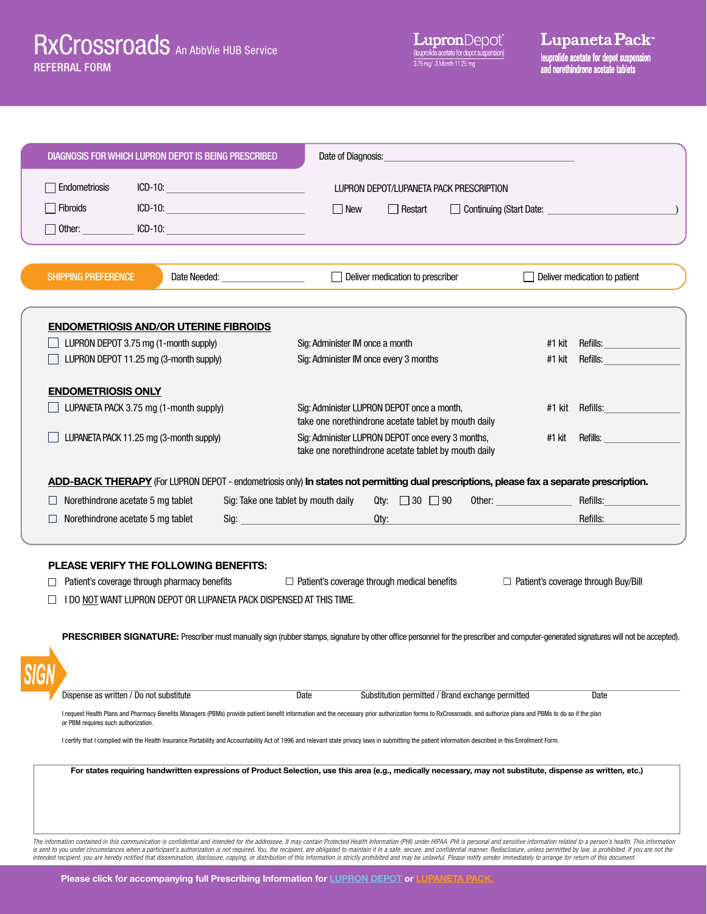| DIAGNOSIS FOR WHICH LUPRON DEPOT IS BEING PRESCRIBED                                                                                                                                                                                                                                                                                                                                                                                                                                                                                                                                                                                                                                              | Date of Diagnosis:                                                                                                                                                                             |                                                                                                                                        |
|---------------------------------------------------------------------------------------------------------------------------------------------------------------------------------------------------------------------------------------------------------------------------------------------------------------------------------------------------------------------------------------------------------------------------------------------------------------------------------------------------------------------------------------------------------------------------------------------------------------------------------------------------------------------------------------------------|------------------------------------------------------------------------------------------------------------------------------------------------------------------------------------------------|----------------------------------------------------------------------------------------------------------------------------------------|
| $ICD-10:$<br>Endometriosis<br><u> 1980 - Johann Barbara, martxa a</u>                                                                                                                                                                                                                                                                                                                                                                                                                                                                                                                                                                                                                             | LUPRON DEPOT/LUPANETA PACK PRESCRIPTION                                                                                                                                                        |                                                                                                                                        |
| $ICD-10:$<br>Fibroids                                                                                                                                                                                                                                                                                                                                                                                                                                                                                                                                                                                                                                                                             | New<br>Restart<br>Continuing (Start Date:                                                                                                                                                      |                                                                                                                                        |
| $\Box$ Other:                                                                                                                                                                                                                                                                                                                                                                                                                                                                                                                                                                                                                                                                                     |                                                                                                                                                                                                |                                                                                                                                        |
|                                                                                                                                                                                                                                                                                                                                                                                                                                                                                                                                                                                                                                                                                                   |                                                                                                                                                                                                |                                                                                                                                        |
| <b>SHIPPING PREFERENCE</b><br>Date Needed:                                                                                                                                                                                                                                                                                                                                                                                                                                                                                                                                                                                                                                                        | Deliver medication to prescriber                                                                                                                                                               | Deliver medication to patient                                                                                                          |
|                                                                                                                                                                                                                                                                                                                                                                                                                                                                                                                                                                                                                                                                                                   |                                                                                                                                                                                                |                                                                                                                                        |
| <b>ENDOMETRIOSIS AND/OR UTERINE FIBROIDS</b><br>LUPRON DEPOT 3.75 mg (1-month supply)                                                                                                                                                                                                                                                                                                                                                                                                                                                                                                                                                                                                             | Sig: Administer IM once a month                                                                                                                                                                | #1 kit<br>Refills:                                                                                                                     |
| LUPRON DEPOT 11.25 mg (3-month supply)                                                                                                                                                                                                                                                                                                                                                                                                                                                                                                                                                                                                                                                            | Sig: Administer IM once every 3 months                                                                                                                                                         | #1 kit<br>Refills:                                                                                                                     |
|                                                                                                                                                                                                                                                                                                                                                                                                                                                                                                                                                                                                                                                                                                   |                                                                                                                                                                                                |                                                                                                                                        |
| <b>ENDOMETRIOSIS ONLY</b>                                                                                                                                                                                                                                                                                                                                                                                                                                                                                                                                                                                                                                                                         |                                                                                                                                                                                                |                                                                                                                                        |
| LUPANETA PACK 3.75 mg (1-month supply)                                                                                                                                                                                                                                                                                                                                                                                                                                                                                                                                                                                                                                                            | Sig: Administer LUPRON DEPOT once a month,                                                                                                                                                     | #1 kit Refills:                                                                                                                        |
| LUPANETA PACK 11.25 mg (3-month supply)                                                                                                                                                                                                                                                                                                                                                                                                                                                                                                                                                                                                                                                           | take one norethindrone acetate tablet by mouth daily<br>Sig: Administer LUPRON DEPOT once every 3 months,<br>take one norethindrone acetate tablet by mouth daily                              | #1 kit<br>Refills:                                                                                                                     |
| ADD-BACK THERAPY (For LUPRON DEPOT - endometriosis only) In states not permitting dual prescriptions, please fax a separate prescription.<br>Norethindrone acetate 5 mg tablet<br>Norethindrone acetate 5 mg tablet<br>Sig:                                                                                                                                                                                                                                                                                                                                                                                                                                                                       | Qty: $\Box$ 30 $\Box$ 90<br>Sig: Take one tablet by mouth daily<br><u> 1990 - Jan James Barnett, politik eta politik eta politik eta politik eta politik eta politik eta politik e</u><br>Qty: | Refills:<br>Other: and the contract of the contract of the contract of the contract of the contract of the contract of the<br>Refills: |
| <b>PLEASE VERIFY THE FOLLOWING BENEFITS:</b>                                                                                                                                                                                                                                                                                                                                                                                                                                                                                                                                                                                                                                                      |                                                                                                                                                                                                |                                                                                                                                        |
| Patient's coverage through pharmacy benefits                                                                                                                                                                                                                                                                                                                                                                                                                                                                                                                                                                                                                                                      | $\Box$ Patient's coverage through medical benefits                                                                                                                                             | $\Box$ Patient's coverage through Buy/Bill                                                                                             |
| I DO NOT WANT LUPRON DEPOT OR LUPANETA PACK DISPENSED AT THIS TIME.                                                                                                                                                                                                                                                                                                                                                                                                                                                                                                                                                                                                                               |                                                                                                                                                                                                |                                                                                                                                        |
|                                                                                                                                                                                                                                                                                                                                                                                                                                                                                                                                                                                                                                                                                                   |                                                                                                                                                                                                |                                                                                                                                        |
| PRESCRIBER SIGNATURE: Prescriber must manually sign (rubber stamps, signature by other office personnel for the prescriber and computer-generated signatures will not be accepted).                                                                                                                                                                                                                                                                                                                                                                                                                                                                                                               |                                                                                                                                                                                                |                                                                                                                                        |
|                                                                                                                                                                                                                                                                                                                                                                                                                                                                                                                                                                                                                                                                                                   |                                                                                                                                                                                                |                                                                                                                                        |
|                                                                                                                                                                                                                                                                                                                                                                                                                                                                                                                                                                                                                                                                                                   |                                                                                                                                                                                                |                                                                                                                                        |
| Dispense as written / Do not substitute                                                                                                                                                                                                                                                                                                                                                                                                                                                                                                                                                                                                                                                           | Date<br>Substitution permitted / Brand exchange permitted                                                                                                                                      | Date                                                                                                                                   |
| I request Health Plans and Pharmacy Benefits Managers (PBMs) provide patient benefit information and the necessary prior authorization forms to RxCrossroads, and authorize plans and PBMs to do so if the plan<br>or PBM requires such authorization.                                                                                                                                                                                                                                                                                                                                                                                                                                            |                                                                                                                                                                                                |                                                                                                                                        |
| I certify that I complied with the Health Insurance Portability and Accountability Act of 1996 and relevant state privacy laws in submitting the patient information described in this Enrollment Form.                                                                                                                                                                                                                                                                                                                                                                                                                                                                                           |                                                                                                                                                                                                |                                                                                                                                        |
| For states requiring handwritten expressions of Product Selection, use this area (e.g., medically necessary, may not substitute, dispense as written, etc.)                                                                                                                                                                                                                                                                                                                                                                                                                                                                                                                                       |                                                                                                                                                                                                |                                                                                                                                        |
|                                                                                                                                                                                                                                                                                                                                                                                                                                                                                                                                                                                                                                                                                                   |                                                                                                                                                                                                |                                                                                                                                        |
|                                                                                                                                                                                                                                                                                                                                                                                                                                                                                                                                                                                                                                                                                                   |                                                                                                                                                                                                |                                                                                                                                        |
| The information contained in this communication is confidential and intended for the addressee. It may contain Protected Health Information (PHI) under HIPAA. PHI is personal and sensitive information related to a person's<br>is sent to you under circumstances when a participant's authorization is not required. You, the recipient, are obligated to maintain it in a safe, secure, and confidential manner. Redisclosure, unless permitted by law, is<br>intended recipient, you are hereby notified that dissemination, disclosure, copying, or distribution of this information is strictly prohibited and may be unlawful. Please notify sender immediately to arrange for return of |                                                                                                                                                                                                |                                                                                                                                        |

Please click for accompanying full Prescribing Information for [LUPRON DEPOT](https://www.luprongyn.com/prescribing-information) or [LUPANETA PACK.](https://www.lupanetapack.com/prescribing-information)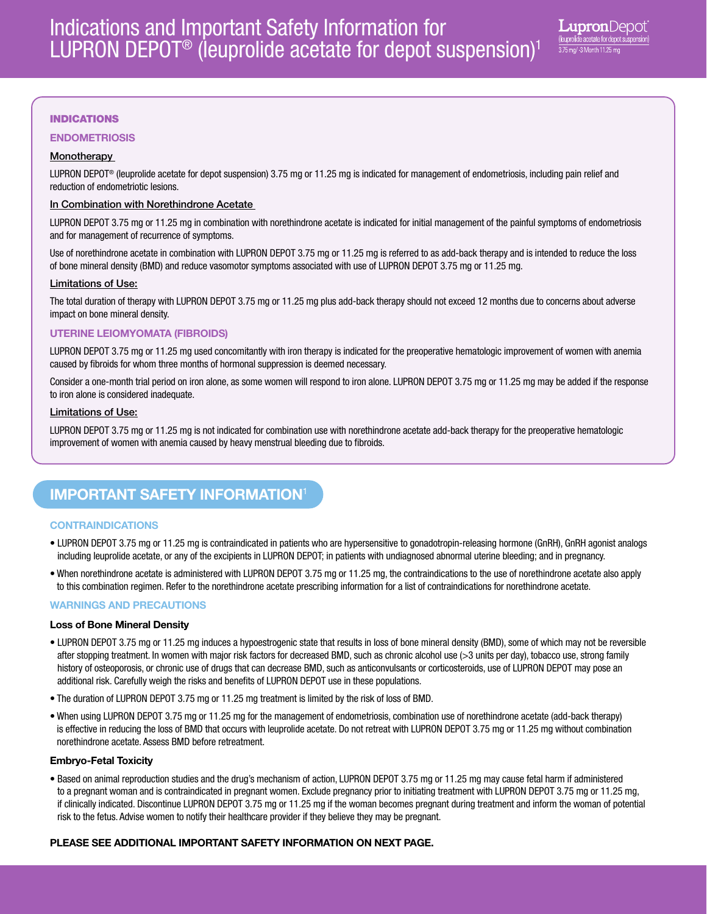# INDICATIONS

## ENDOMETRIOSIS

# **Monotherapy**

LUPRON DEPOT® (leuprolide acetate for depot suspension) 3.75 mg or 11.25 mg is indicated for management of endometriosis, including pain relief and reduction of endometriotic lesions.

## In Combination with Norethindrone Acetate

LUPRON DEPOT 3.75 mg or 11.25 mg in combination with norethindrone acetate is indicated for initial management of the painful symptoms of endometriosis and for management of recurrence of symptoms.

Use of norethindrone acetate in combination with LUPRON DEPOT 3.75 mg or 11.25 mg is referred to as add-back therapy and is intended to reduce the loss of bone mineral density (BMD) and reduce vasomotor symptoms associated with use of LUPRON DEPOT 3.75 mg or 11.25 mg.

#### Limitations of Use:

The total duration of therapy with LUPRON DEPOT 3.75 mg or 11.25 mg plus add-back therapy should not exceed 12 months due to concerns about adverse impact on bone mineral density.

## UTERINE LEIOMYOMATA (FIBROIDS)

LUPRON DEPOT 3.75 mg or 11.25 mg used concomitantly with iron therapy is indicated for the preoperative hematologic improvement of women with anemia caused by fibroids for whom three months of hormonal suppression is deemed necessary.

Consider a one-month trial period on iron alone, as some women will respond to iron alone. LUPRON DEPOT 3.75 mg or 11.25 mg may be added if the response to iron alone is considered inadequate.

### Limitations of Use:

LUPRON DEPOT 3.75 mg or 11.25 mg is not indicated for combination use with norethindrone acetate add-back therapy for the preoperative hematologic improvement of women with anemia caused by heavy menstrual bleeding due to fibroids.

# IMPORTANT SAFETY INFORMATION<sup>1</sup>

## **CONTRAINDICATIONS**

- LUPRON DEPOT 3.75 mg or 11.25 mg is contraindicated in patients who are hypersensitive to gonadotropin-releasing hormone (GnRH), GnRH agonist analogs including leuprolide acetate, or any of the excipients in LUPRON DEPOT; in patients with undiagnosed abnormal uterine bleeding; and in pregnancy.
- When norethindrone acetate is administered with LUPRON DEPOT 3.75 mg or 11.25 mg, the contraindications to the use of norethindrone acetate also apply to this combination regimen. Refer to the norethindrone acetate prescribing information for a list of contraindications for norethindrone acetate.

## WARNINGS AND PRECAUTIONS

## Loss of Bone Mineral Density

- LUPRON DEPOT 3.75 mg or 11.25 mg induces a hypoestrogenic state that results in loss of bone mineral density (BMD), some of which may not be reversible after stopping treatment. In women with major risk factors for decreased BMD, such as chronic alcohol use (>3 units per day), tobacco use, strong family history of osteoporosis, or chronic use of drugs that can decrease BMD, such as anticonvulsants or corticosteroids, use of LUPRON DEPOT may pose an additional risk. Carefully weigh the risks and benefits of LUPRON DEPOT use in these populations.
- The duration of LUPRON DEPOT 3.75 mg or 11.25 mg treatment is limited by the risk of loss of BMD.
- When using LUPRON DEPOT 3.75 mg or 11.25 mg for the management of endometriosis, combination use of norethindrone acetate (add-back therapy) is effective in reducing the loss of BMD that occurs with leuprolide acetate. Do not retreat with LUPRON DEPOT 3.75 mg or 11.25 mg without combination norethindrone acetate. Assess BMD before retreatment.

#### Embryo-Fetal Toxicity

• Based on animal reproduction studies and the drug's mechanism of action, LUPRON DEPOT 3.75 mg or 11.25 mg may cause fetal harm if administered to a pregnant woman and is contraindicated in pregnant women. Exclude pregnancy prior to initiating treatment with LUPRON DEPOT 3.75 mg or 11.25 mg, if clinically indicated. Discontinue LUPRON DEPOT 3.75 mg or 11.25 mg if the woman becomes pregnant during treatment and inform the woman of potential risk to the fetus. Advise women to notify their healthcare provider if they believe they may be pregnant.

## PLEASE SEE ADDITIONAL IMPORTANT SAFETY INFORMATION ON NEXT PAGE.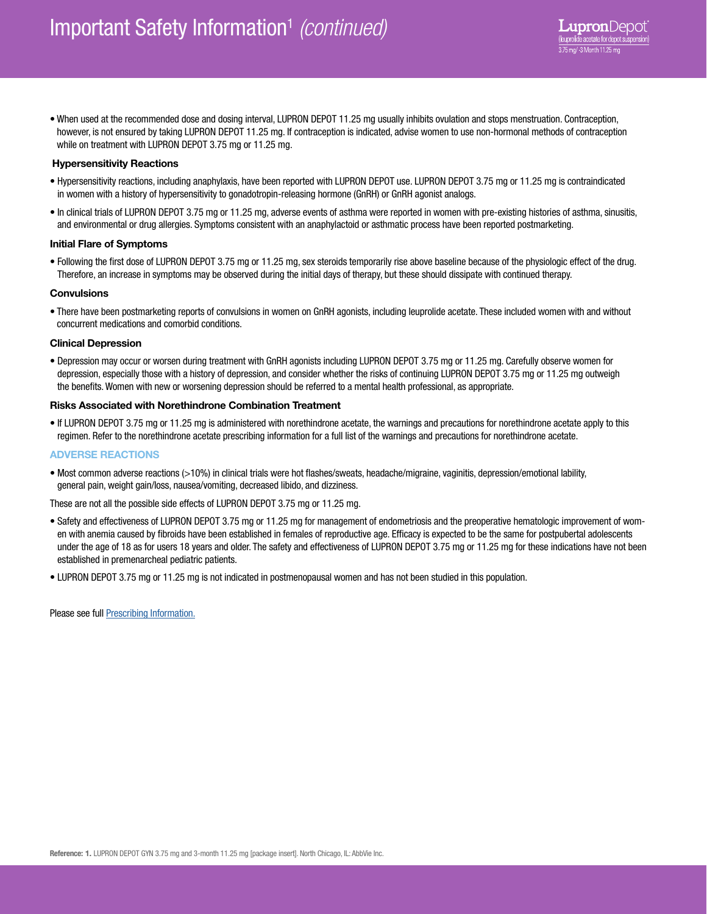• When used at the recommended dose and dosing interval, LUPRON DEPOT 11.25 mg usually inhibits ovulation and stops menstruation. Contraception, however, is not ensured by taking LUPRON DEPOT 11.25 mg. If contraception is indicated, advise women to use non-hormonal methods of contraception while on treatment with LUPRON DEPOT 3.75 mg or 11.25 mg.

## Hypersensitivity Reactions

- Hypersensitivity reactions, including anaphylaxis, have been reported with LUPRON DEPOT use. LUPRON DEPOT 3.75 mg or 11.25 mg is contraindicated in women with a history of hypersensitivity to gonadotropin-releasing hormone (GnRH) or GnRH agonist analogs.
- In clinical trials of LUPRON DEPOT 3.75 mg or 11.25 mg, adverse events of asthma were reported in women with pre-existing histories of asthma, sinusitis, and environmental or drug allergies. Symptoms consistent with an anaphylactoid or asthmatic process have been reported postmarketing.

#### Initial Flare of Symptoms

• Following the first dose of LUPRON DEPOT 3.75 mg or 11.25 mg, sex steroids temporarily rise above baseline because of the physiologic effect of the drug. Therefore, an increase in symptoms may be observed during the initial days of therapy, but these should dissipate with continued therapy.

#### **Convulsions**

• There have been postmarketing reports of convulsions in women on GnRH agonists, including leuprolide acetate. These included women with and without concurrent medications and comorbid conditions.

#### Clinical Depression

• Depression may occur or worsen during treatment with GnRH agonists including LUPRON DEPOT 3.75 mg or 11.25 mg. Carefully observe women for depression, especially those with a history of depression, and consider whether the risks of continuing LUPRON DEPOT 3.75 mg or 11.25 mg outweigh the benefits. Women with new or worsening depression should be referred to a mental health professional, as appropriate.

### Risks Associated with Norethindrone Combination Treatment

• If LUPRON DEPOT 3.75 mg or 11.25 mg is administered with norethindrone acetate, the warnings and precautions for norethindrone acetate apply to this regimen. Refer to the norethindrone acetate prescribing information for a full list of the warnings and precautions for norethindrone acetate.

#### ADVERSE REACTIONS

• Most common adverse reactions (>10%) in clinical trials were hot flashes/sweats, headache/migraine, vaginitis, depression/emotional lability, general pain, weight gain/loss, nausea/vomiting, decreased libido, and dizziness.

#### These are not all the possible side effects of LUPRON DEPOT 3.75 mg or 11.25 mg.

- Safety and effectiveness of LUPRON DEPOT 3.75 mg or 11.25 mg for management of endometriosis and the preoperative hematologic improvement of women with anemia caused by fibroids have been established in females of reproductive age. Efficacy is expected to be the same for postpubertal adolescents under the age of 18 as for users 18 years and older. The safety and effectiveness of LUPRON DEPOT 3.75 mg or 11.25 mg for these indications have not been established in premenarcheal pediatric patients.
- LUPRON DEPOT 3.75 mg or 11.25 mg is not indicated in postmenopausal women and has not been studied in this population.

Please see full [Prescribing Information.](https://www.luprongyn.com/prescribing-information)